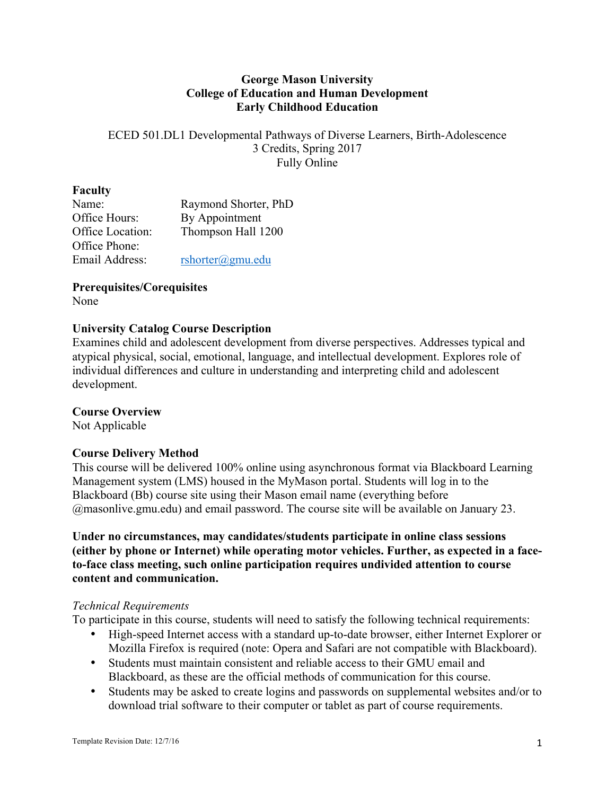## **George Mason University College of Education and Human Development Early Childhood Education**

ECED 501.DL1 Developmental Pathways of Diverse Learners, Birth-Adolescence 3 Credits, Spring 2017 Fully Online

#### **Faculty**

| Name:            | Raymond Shorter, PhD       |
|------------------|----------------------------|
| Office Hours:    | By Appointment             |
| Office Location: | Thompson Hall 1200         |
| Office Phone:    |                            |
| Email Address:   | $rshotter(\omega gmu.edu)$ |

# **Prerequisites/Corequisites**

None

## **University Catalog Course Description**

Examines child and adolescent development from diverse perspectives. Addresses typical and atypical physical, social, emotional, language, and intellectual development. Explores role of individual differences and culture in understanding and interpreting child and adolescent development.

# **Course Overview**

Not Applicable

# **Course Delivery Method**

This course will be delivered 100% online using asynchronous format via Blackboard Learning Management system (LMS) housed in the MyMason portal. Students will log in to the Blackboard (Bb) course site using their Mason email name (everything before @masonlive.gmu.edu) and email password. The course site will be available on January 23.

# **Under no circumstances, may candidates/students participate in online class sessions (either by phone or Internet) while operating motor vehicles. Further, as expected in a faceto-face class meeting, such online participation requires undivided attention to course content and communication.**

# *Technical Requirements*

To participate in this course, students will need to satisfy the following technical requirements:

- High-speed Internet access with a standard up-to-date browser, either Internet Explorer or Mozilla Firefox is required (note: Opera and Safari are not compatible with Blackboard).
- Students must maintain consistent and reliable access to their GMU email and Blackboard, as these are the official methods of communication for this course.
- Students may be asked to create logins and passwords on supplemental websites and/or to download trial software to their computer or tablet as part of course requirements.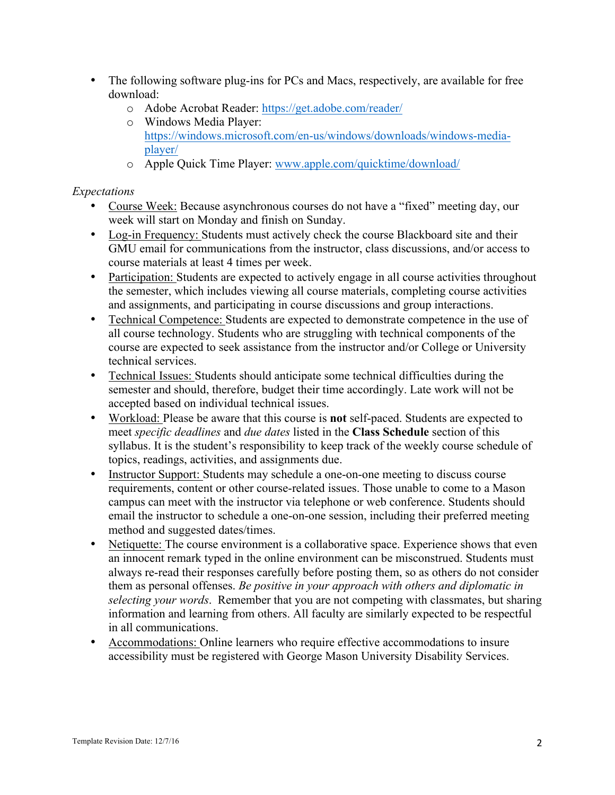- The following software plug-ins for PCs and Macs, respectively, are available for free download:
	- o Adobe Acrobat Reader: https://get.adobe.com/reader/
	- o Windows Media Player: https://windows.microsoft.com/en-us/windows/downloads/windows-mediaplayer/
	- o Apple Quick Time Player: www.apple.com/quicktime/download/

# *Expectations*

- Course Week: Because asynchronous courses do not have a "fixed" meeting day, our week will start on Monday and finish on Sunday.
- Log-in Frequency: Students must actively check the course Blackboard site and their GMU email for communications from the instructor, class discussions, and/or access to course materials at least 4 times per week.
- Participation: Students are expected to actively engage in all course activities throughout the semester, which includes viewing all course materials, completing course activities and assignments, and participating in course discussions and group interactions.
- Technical Competence: Students are expected to demonstrate competence in the use of all course technology. Students who are struggling with technical components of the course are expected to seek assistance from the instructor and/or College or University technical services.
- Technical Issues: Students should anticipate some technical difficulties during the semester and should, therefore, budget their time accordingly. Late work will not be accepted based on individual technical issues.
- Workload: Please be aware that this course is **not** self-paced. Students are expected to meet *specific deadlines* and *due dates* listed in the **Class Schedule** section of this syllabus. It is the student's responsibility to keep track of the weekly course schedule of topics, readings, activities, and assignments due.
- Instructor Support: Students may schedule a one-on-one meeting to discuss course requirements, content or other course-related issues. Those unable to come to a Mason campus can meet with the instructor via telephone or web conference. Students should email the instructor to schedule a one-on-one session, including their preferred meeting method and suggested dates/times.
- Netiquette: The course environment is a collaborative space. Experience shows that even an innocent remark typed in the online environment can be misconstrued. Students must always re-read their responses carefully before posting them, so as others do not consider them as personal offenses. *Be positive in your approach with others and diplomatic in selecting your words*. Remember that you are not competing with classmates, but sharing information and learning from others. All faculty are similarly expected to be respectful in all communications.
- Accommodations: Online learners who require effective accommodations to insure accessibility must be registered with George Mason University Disability Services.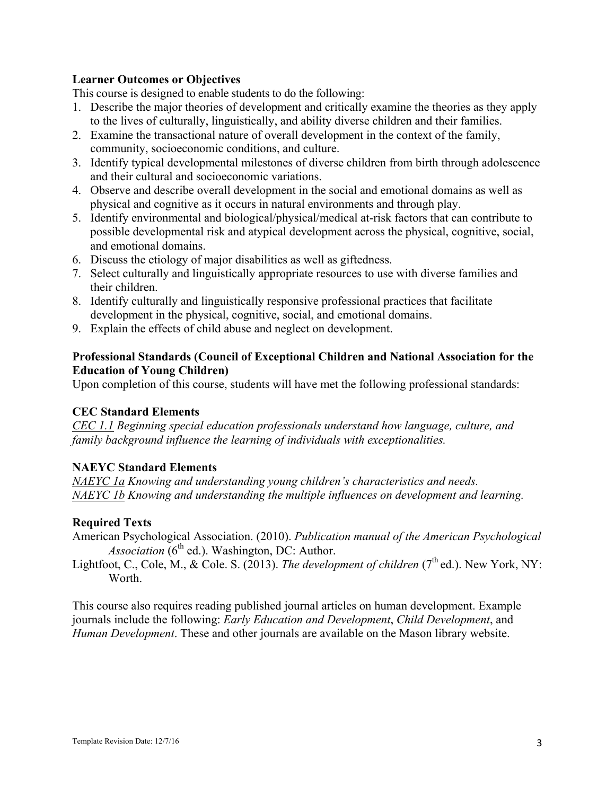# **Learner Outcomes or Objectives**

This course is designed to enable students to do the following:

- 1. Describe the major theories of development and critically examine the theories as they apply to the lives of culturally, linguistically, and ability diverse children and their families.
- 2. Examine the transactional nature of overall development in the context of the family, community, socioeconomic conditions, and culture.
- 3. Identify typical developmental milestones of diverse children from birth through adolescence and their cultural and socioeconomic variations.
- 4. Observe and describe overall development in the social and emotional domains as well as physical and cognitive as it occurs in natural environments and through play.
- 5. Identify environmental and biological/physical/medical at-risk factors that can contribute to possible developmental risk and atypical development across the physical, cognitive, social, and emotional domains.
- 6. Discuss the etiology of major disabilities as well as giftedness.
- 7. Select culturally and linguistically appropriate resources to use with diverse families and their children.
- 8. Identify culturally and linguistically responsive professional practices that facilitate development in the physical, cognitive, social, and emotional domains.
- 9. Explain the effects of child abuse and neglect on development.

# **Professional Standards (Council of Exceptional Children and National Association for the Education of Young Children)**

Upon completion of this course, students will have met the following professional standards:

#### **CEC Standard Elements**

*CEC 1.1 Beginning special education professionals understand how language, culture, and family background influence the learning of individuals with exceptionalities.*

#### **NAEYC Standard Elements**

*NAEYC 1a Knowing and understanding young children's characteristics and needs. NAEYC 1b Knowing and understanding the multiple influences on development and learning.*

#### **Required Texts**

- American Psychological Association. (2010). *Publication manual of the American Psychological Association*  $(6^{th}$  ed.). Washington, DC: Author.
- Lightfoot, C., Cole, M., & Cole. S. (2013). *The development of children* (7<sup>th</sup> ed.). New York, NY: Worth.

This course also requires reading published journal articles on human development. Example journals include the following: *Early Education and Development*, *Child Development*, and *Human Development*. These and other journals are available on the Mason library website.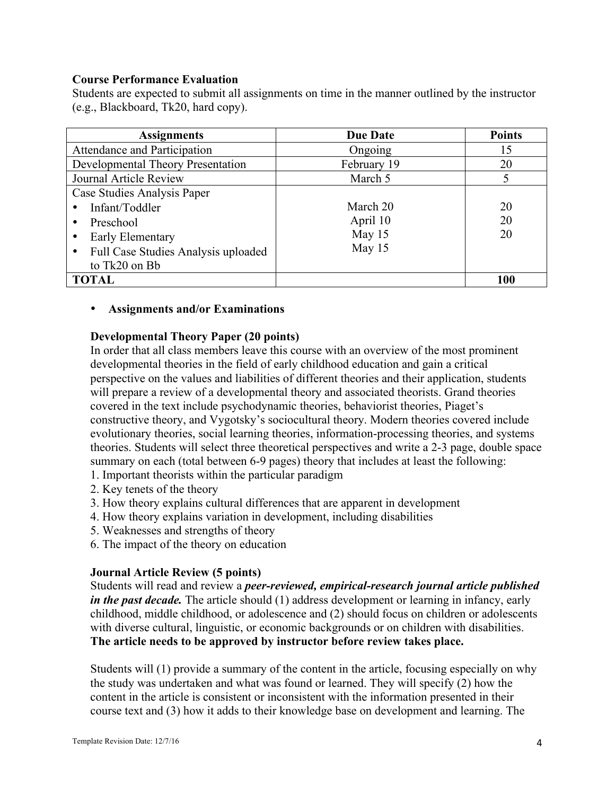#### **Course Performance Evaluation**

Students are expected to submit all assignments on time in the manner outlined by the instructor (e.g., Blackboard, Tk20, hard copy).

| <b>Assignments</b>                  | <b>Due Date</b> | <b>Points</b> |
|-------------------------------------|-----------------|---------------|
| Attendance and Participation        | Ongoing         | 15            |
| Developmental Theory Presentation   | February 19     | 20            |
| Journal Article Review              | March 5         |               |
| Case Studies Analysis Paper         |                 |               |
| Infant/Toddler                      | March 20        | 20            |
| Preschool<br>٠                      | April 10        | 20            |
| Early Elementary                    | May 15          | 20            |
| Full Case Studies Analysis uploaded | May 15          |               |
| to Tk20 on Bb                       |                 |               |
| <b>TOTAL</b>                        |                 | 100           |

#### • **Assignments and/or Examinations**

#### **Developmental Theory Paper (20 points)**

In order that all class members leave this course with an overview of the most prominent developmental theories in the field of early childhood education and gain a critical perspective on the values and liabilities of different theories and their application, students will prepare a review of a developmental theory and associated theorists. Grand theories covered in the text include psychodynamic theories, behaviorist theories, Piaget's constructive theory, and Vygotsky's sociocultural theory. Modern theories covered include evolutionary theories, social learning theories, information-processing theories, and systems theories. Students will select three theoretical perspectives and write a 2-3 page, double space summary on each (total between 6-9 pages) theory that includes at least the following: 1. Important theorists within the particular paradigm

- 2. Key tenets of the theory
- 3. How theory explains cultural differences that are apparent in development
- 4. How theory explains variation in development, including disabilities
- 5. Weaknesses and strengths of theory
- 6. The impact of the theory on education

#### **Journal Article Review (5 points)**

Students will read and review a *peer-reviewed, empirical-research journal article published in the past decade*. The article should (1) address development or learning in infancy, early childhood, middle childhood, or adolescence and (2) should focus on children or adolescents with diverse cultural, linguistic, or economic backgrounds or on children with disabilities. **The article needs to be approved by instructor before review takes place.** 

Students will (1) provide a summary of the content in the article, focusing especially on why the study was undertaken and what was found or learned. They will specify (2) how the content in the article is consistent or inconsistent with the information presented in their course text and (3) how it adds to their knowledge base on development and learning. The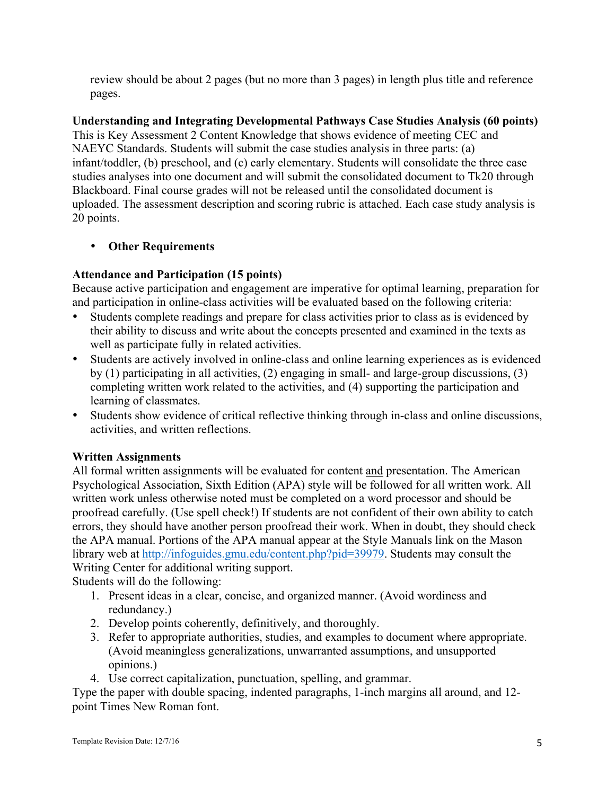review should be about 2 pages (but no more than 3 pages) in length plus title and reference pages.

**Understanding and Integrating Developmental Pathways Case Studies Analysis (60 points)**  This is Key Assessment 2 Content Knowledge that shows evidence of meeting CEC and NAEYC Standards. Students will submit the case studies analysis in three parts: (a) infant/toddler, (b) preschool, and (c) early elementary. Students will consolidate the three case studies analyses into one document and will submit the consolidated document to Tk20 through Blackboard. Final course grades will not be released until the consolidated document is uploaded. The assessment description and scoring rubric is attached. Each case study analysis is 20 points.

# • **Other Requirements**

# **Attendance and Participation (15 points)**

Because active participation and engagement are imperative for optimal learning, preparation for and participation in online-class activities will be evaluated based on the following criteria:

- Students complete readings and prepare for class activities prior to class as is evidenced by their ability to discuss and write about the concepts presented and examined in the texts as well as participate fully in related activities.
- Students are actively involved in online-class and online learning experiences as is evidenced by (1) participating in all activities, (2) engaging in small- and large-group discussions, (3) completing written work related to the activities, and (4) supporting the participation and learning of classmates.
- Students show evidence of critical reflective thinking through in-class and online discussions, activities, and written reflections.

# **Written Assignments**

All formal written assignments will be evaluated for content and presentation. The American Psychological Association, Sixth Edition (APA) style will be followed for all written work. All written work unless otherwise noted must be completed on a word processor and should be proofread carefully. (Use spell check!) If students are not confident of their own ability to catch errors, they should have another person proofread their work. When in doubt, they should check the APA manual. Portions of the APA manual appear at the Style Manuals link on the Mason library web at http://infoguides.gmu.edu/content.php?pid=39979. Students may consult the Writing Center for additional writing support.

Students will do the following:

- 1. Present ideas in a clear, concise, and organized manner. (Avoid wordiness and redundancy.)
- 2. Develop points coherently, definitively, and thoroughly.
- 3. Refer to appropriate authorities, studies, and examples to document where appropriate. (Avoid meaningless generalizations, unwarranted assumptions, and unsupported opinions.)
- 4. Use correct capitalization, punctuation, spelling, and grammar.

Type the paper with double spacing, indented paragraphs, 1-inch margins all around, and 12 point Times New Roman font.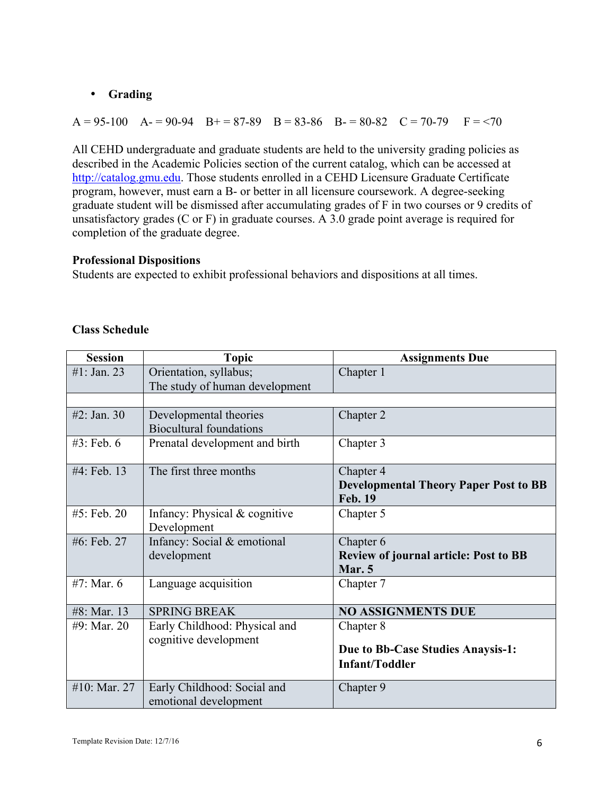# • **Grading**

 $A = 95-100$   $A = 90-94$   $B = 87-89$   $B = 83-86$   $B = 80-82$   $C = 70-79$   $F = 70$ 

All CEHD undergraduate and graduate students are held to the university grading policies as described in the Academic Policies section of the current catalog, which can be accessed at http://catalog.gmu.edu. Those students enrolled in a CEHD Licensure Graduate Certificate program, however, must earn a B- or better in all licensure coursework. A degree-seeking graduate student will be dismissed after accumulating grades of F in two courses or 9 credits of unsatisfactory grades (C or F) in graduate courses. A 3.0 grade point average is required for completion of the graduate degree.

## **Professional Dispositions**

Students are expected to exhibit professional behaviors and dispositions at all times.

| <b>Session</b> | <b>Topic</b>                                             | <b>Assignments Due</b>                                                      |
|----------------|----------------------------------------------------------|-----------------------------------------------------------------------------|
| #1: Jan. 23    | Orientation, syllabus;<br>The study of human development | Chapter 1                                                                   |
|                |                                                          |                                                                             |
| #2: Jan. $30$  | Developmental theories<br><b>Biocultural foundations</b> | Chapter 2                                                                   |
| $#3$ : Feb. 6  | Prenatal development and birth                           | Chapter 3                                                                   |
| #4: Feb. 13    | The first three months                                   | Chapter 4<br><b>Developmental Theory Paper Post to BB</b><br><b>Feb. 19</b> |
| #5: Feb. 20    | Infancy: Physical $&$ cognitive<br>Development           | Chapter 5                                                                   |
| #6: Feb. 27    | Infancy: Social & emotional<br>development               | Chapter 6<br><b>Review of journal article: Post to BB</b><br>Mar. 5         |
| #7: Mar. $6$   | Language acquisition                                     | Chapter 7                                                                   |
| #8: Mar. 13    | <b>SPRING BREAK</b>                                      | <b>NO ASSIGNMENTS DUE</b>                                                   |
| #9: Mar. 20    | Early Childhood: Physical and<br>cognitive development   | Chapter 8<br>Due to Bb-Case Studies Anaysis-1:<br><b>Infant/Toddler</b>     |
| #10: Mar. 27   | Early Childhood: Social and<br>emotional development     | Chapter 9                                                                   |

# **Class Schedule**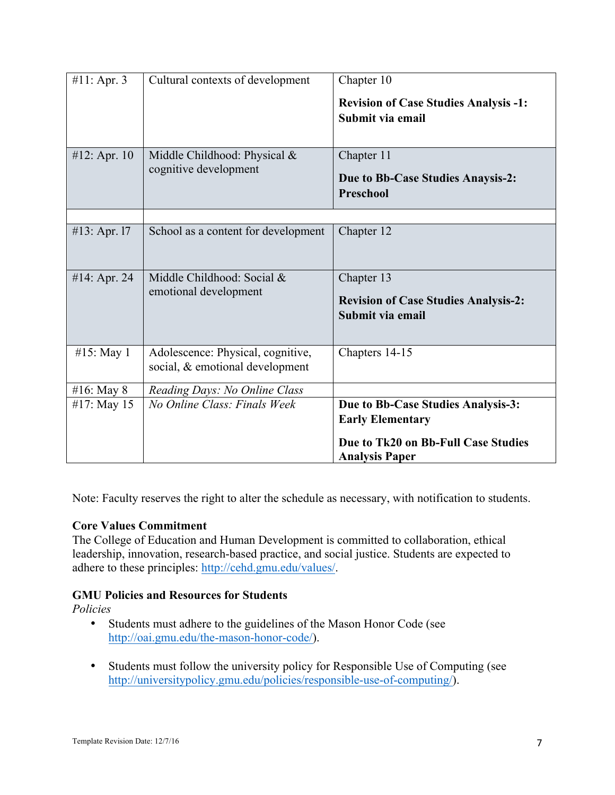| #11: Apr. 3  | Cultural contexts of development                                     | Chapter 10<br><b>Revision of Case Studies Analysis -1:</b><br>Submit via email                                                |
|--------------|----------------------------------------------------------------------|-------------------------------------------------------------------------------------------------------------------------------|
| #12: Apr. 10 | Middle Childhood: Physical &<br>cognitive development                | Chapter 11<br>Due to Bb-Case Studies Anaysis-2:<br><b>Preschool</b>                                                           |
|              |                                                                      |                                                                                                                               |
| #13: Apr. 17 | School as a content for development                                  | Chapter 12                                                                                                                    |
| #14: Apr. 24 | Middle Childhood: Social &<br>emotional development                  | Chapter 13<br><b>Revision of Case Studies Analysis-2:</b><br>Submit via email                                                 |
| #15: May 1   | Adolescence: Physical, cognitive,<br>social, & emotional development | Chapters 14-15                                                                                                                |
| #16: May 8   | Reading Days: No Online Class                                        |                                                                                                                               |
| #17: May 15  | No Online Class: Finals Week                                         | Due to Bb-Case Studies Analysis-3:<br><b>Early Elementary</b><br>Due to Tk20 on Bb-Full Case Studies<br><b>Analysis Paper</b> |

Note: Faculty reserves the right to alter the schedule as necessary, with notification to students.

# **Core Values Commitment**

The College of Education and Human Development is committed to collaboration, ethical leadership, innovation, research-based practice, and social justice. Students are expected to adhere to these principles: http://cehd.gmu.edu/values/.

# **GMU Policies and Resources for Students**

*Policies*

- Students must adhere to the guidelines of the Mason Honor Code (see http://oai.gmu.edu/the-mason-honor-code/).
- Students must follow the university policy for Responsible Use of Computing (see http://universitypolicy.gmu.edu/policies/responsible-use-of-computing/).